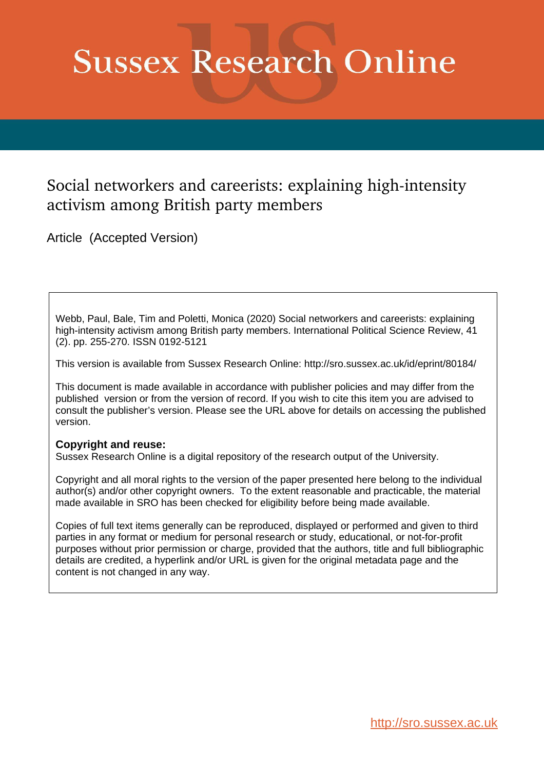# **Sussex Research Online**

## Social networkers and careerists: explaining high-intensity activism among British party members

Article (Accepted Version)

Webb, Paul, Bale, Tim and Poletti, Monica (2020) Social networkers and careerists: explaining high-intensity activism among British party members. International Political Science Review, 41 (2). pp. 255-270. ISSN 0192-5121

This version is available from Sussex Research Online: http://sro.sussex.ac.uk/id/eprint/80184/

This document is made available in accordance with publisher policies and may differ from the published version or from the version of record. If you wish to cite this item you are advised to consult the publisher's version. Please see the URL above for details on accessing the published version.

#### **Copyright and reuse:**

Sussex Research Online is a digital repository of the research output of the University.

Copyright and all moral rights to the version of the paper presented here belong to the individual author(s) and/or other copyright owners. To the extent reasonable and practicable, the material made available in SRO has been checked for eligibility before being made available.

Copies of full text items generally can be reproduced, displayed or performed and given to third parties in any format or medium for personal research or study, educational, or not-for-profit purposes without prior permission or charge, provided that the authors, title and full bibliographic details are credited, a hyperlink and/or URL is given for the original metadata page and the content is not changed in any way.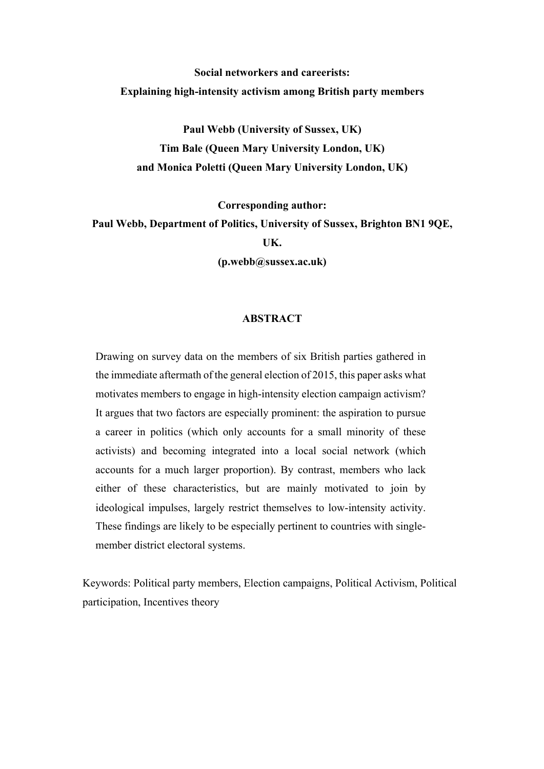## **Social networkers and careerists: Explaining high-intensity activism among British party members**

**Paul Webb (University of Sussex, UK) Tim Bale (Queen Mary University London, UK) and Monica Poletti (Queen Mary University London, UK)** 

**Corresponding author:**

**Paul Webb, Department of Politics, University of Sussex, Brighton BN1 9QE, UK.** 

**(p.webb@sussex.ac.uk)**

#### **ABSTRACT**

Drawing on survey data on the members of six British parties gathered in the immediate aftermath of the general election of 2015, this paper asks what motivates members to engage in high-intensity election campaign activism? It argues that two factors are especially prominent: the aspiration to pursue a career in politics (which only accounts for a small minority of these activists) and becoming integrated into a local social network (which accounts for a much larger proportion). By contrast, members who lack either of these characteristics, but are mainly motivated to join by ideological impulses, largely restrict themselves to low-intensity activity. These findings are likely to be especially pertinent to countries with singlemember district electoral systems.

Keywords: Political party members, Election campaigns, Political Activism, Political participation, Incentives theory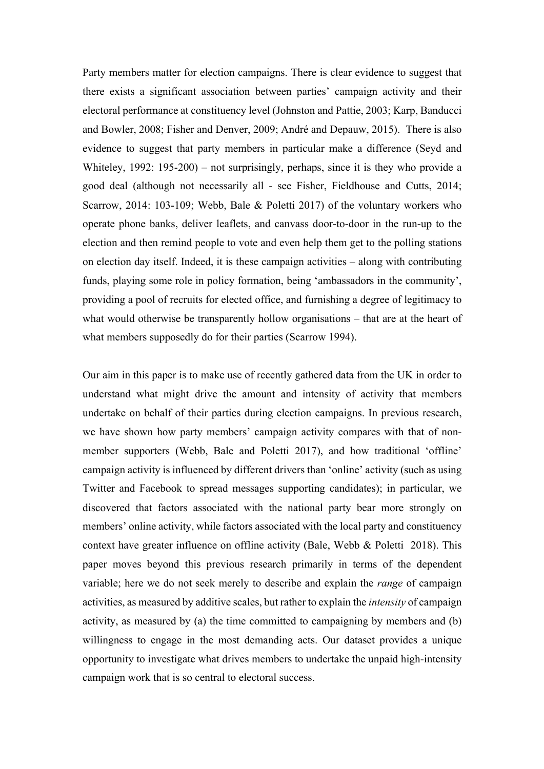Party members matter for election campaigns. There is clear evidence to suggest that there exists a significant association between parties' campaign activity and their electoral performance at constituency level (Johnston and Pattie, 2003; Karp, Banducci and Bowler, 2008; Fisher and Denver, 2009; André and Depauw, 2015). There is also evidence to suggest that party members in particular make a difference (Seyd and Whiteley, 1992: 195-200) – not surprisingly, perhaps, since it is they who provide a good deal (although not necessarily all - see Fisher, Fieldhouse and Cutts, 2014; Scarrow, 2014: 103-109; Webb, Bale & Poletti 2017) of the voluntary workers who operate phone banks, deliver leaflets, and canvass door-to-door in the run-up to the election and then remind people to vote and even help them get to the polling stations on election day itself. Indeed, it is these campaign activities – along with contributing funds, playing some role in policy formation, being 'ambassadors in the community', providing a pool of recruits for elected office, and furnishing a degree of legitimacy to what would otherwise be transparently hollow organisations – that are at the heart of what members supposedly do for their parties (Scarrow 1994).

Our aim in this paper is to make use of recently gathered data from the UK in order to understand what might drive the amount and intensity of activity that members undertake on behalf of their parties during election campaigns. In previous research, we have shown how party members' campaign activity compares with that of nonmember supporters (Webb, Bale and Poletti 2017), and how traditional 'offline' campaign activity is influenced by different drivers than 'online' activity (such as using Twitter and Facebook to spread messages supporting candidates); in particular, we discovered that factors associated with the national party bear more strongly on members' online activity, while factors associated with the local party and constituency context have greater influence on offline activity (Bale, Webb & Poletti 2018). This paper moves beyond this previous research primarily in terms of the dependent variable; here we do not seek merely to describe and explain the *range* of campaign activities, as measured by additive scales, but rather to explain the *intensity* of campaign activity, as measured by (a) the time committed to campaigning by members and (b) willingness to engage in the most demanding acts. Our dataset provides a unique opportunity to investigate what drives members to undertake the unpaid high-intensity campaign work that is so central to electoral success.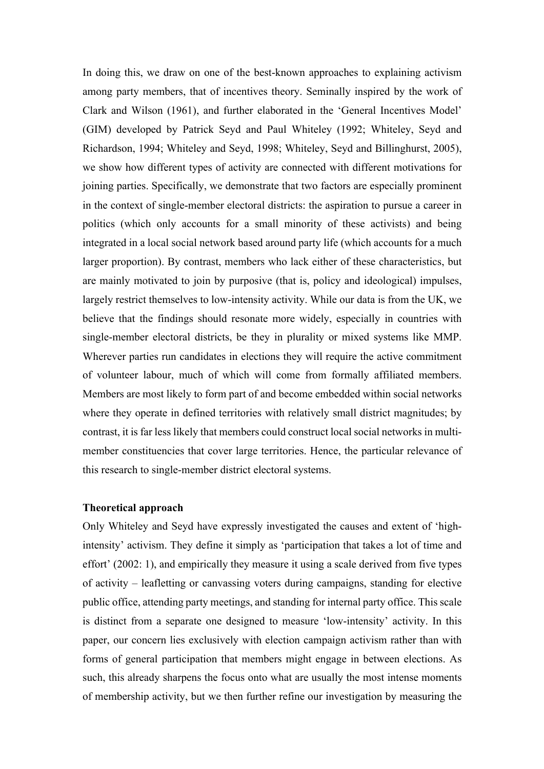In doing this, we draw on one of the best-known approaches to explaining activism among party members, that of incentives theory. Seminally inspired by the work of Clark and Wilson (1961), and further elaborated in the 'General Incentives Model' (GIM) developed by Patrick Seyd and Paul Whiteley (1992; Whiteley, Seyd and Richardson, 1994; Whiteley and Seyd, 1998; Whiteley, Seyd and Billinghurst, 2005), we show how different types of activity are connected with different motivations for joining parties. Specifically, we demonstrate that two factors are especially prominent in the context of single-member electoral districts: the aspiration to pursue a career in politics (which only accounts for a small minority of these activists) and being integrated in a local social network based around party life (which accounts for a much larger proportion). By contrast, members who lack either of these characteristics, but are mainly motivated to join by purposive (that is, policy and ideological) impulses, largely restrict themselves to low-intensity activity. While our data is from the UK, we believe that the findings should resonate more widely, especially in countries with single-member electoral districts, be they in plurality or mixed systems like MMP. Wherever parties run candidates in elections they will require the active commitment of volunteer labour, much of which will come from formally affiliated members. Members are most likely to form part of and become embedded within social networks where they operate in defined territories with relatively small district magnitudes; by contrast, it is far less likely that members could construct local social networks in multimember constituencies that cover large territories. Hence, the particular relevance of this research to single-member district electoral systems.

#### **Theoretical approach**

Only Whiteley and Seyd have expressly investigated the causes and extent of 'highintensity' activism. They define it simply as 'participation that takes a lot of time and effort' (2002: 1), and empirically they measure it using a scale derived from five types of activity – leafletting or canvassing voters during campaigns, standing for elective public office, attending party meetings, and standing for internal party office. This scale is distinct from a separate one designed to measure 'low-intensity' activity. In this paper, our concern lies exclusively with election campaign activism rather than with forms of general participation that members might engage in between elections. As such, this already sharpens the focus onto what are usually the most intense moments of membership activity, but we then further refine our investigation by measuring the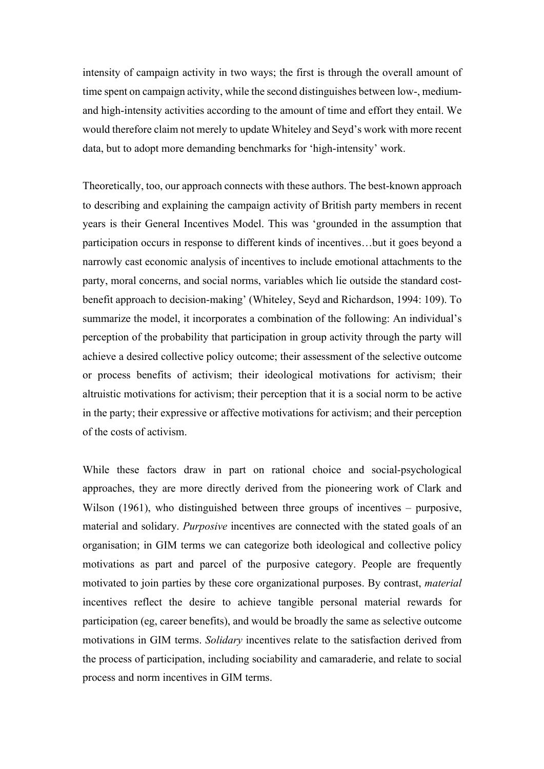intensity of campaign activity in two ways; the first is through the overall amount of time spent on campaign activity, while the second distinguishes between low-, mediumand high-intensity activities according to the amount of time and effort they entail. We would therefore claim not merely to update Whiteley and Seyd's work with more recent data, but to adopt more demanding benchmarks for 'high-intensity' work.

Theoretically, too, our approach connects with these authors. The best-known approach to describing and explaining the campaign activity of British party members in recent years is their General Incentives Model. This was 'grounded in the assumption that participation occurs in response to different kinds of incentives…but it goes beyond a narrowly cast economic analysis of incentives to include emotional attachments to the party, moral concerns, and social norms, variables which lie outside the standard costbenefit approach to decision-making' (Whiteley, Seyd and Richardson, 1994: 109). To summarize the model, it incorporates a combination of the following: An individual's perception of the probability that participation in group activity through the party will achieve a desired collective policy outcome; their assessment of the selective outcome or process benefits of activism; their ideological motivations for activism; their altruistic motivations for activism; their perception that it is a social norm to be active in the party; their expressive or affective motivations for activism; and their perception of the costs of activism.

While these factors draw in part on rational choice and social-psychological approaches, they are more directly derived from the pioneering work of Clark and Wilson (1961), who distinguished between three groups of incentives – purposive, material and solidary. *Purposive* incentives are connected with the stated goals of an organisation; in GIM terms we can categorize both ideological and collective policy motivations as part and parcel of the purposive category. People are frequently motivated to join parties by these core organizational purposes. By contrast, *material* incentives reflect the desire to achieve tangible personal material rewards for participation (eg, career benefits), and would be broadly the same as selective outcome motivations in GIM terms. *Solidary* incentives relate to the satisfaction derived from the process of participation, including sociability and camaraderie, and relate to social process and norm incentives in GIM terms.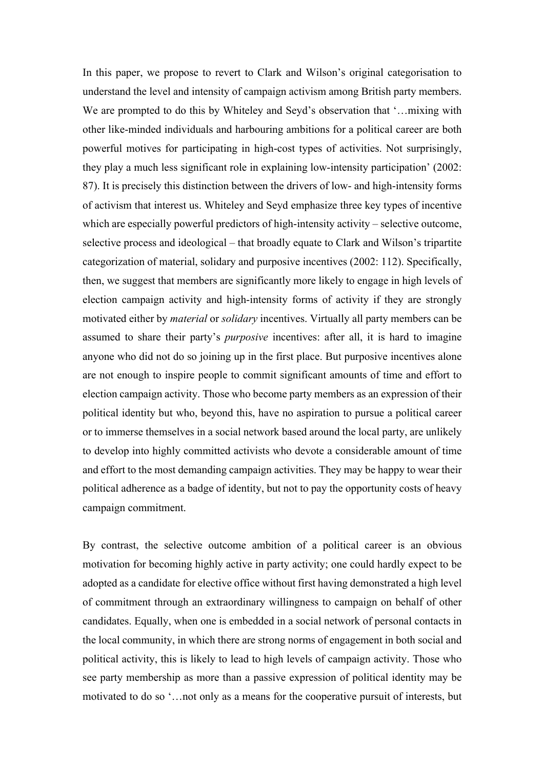In this paper, we propose to revert to Clark and Wilson's original categorisation to understand the level and intensity of campaign activism among British party members. We are prompted to do this by Whiteley and Seyd's observation that '... mixing with other like-minded individuals and harbouring ambitions for a political career are both powerful motives for participating in high-cost types of activities. Not surprisingly, they play a much less significant role in explaining low-intensity participation' (2002: 87). It is precisely this distinction between the drivers of low- and high-intensity forms of activism that interest us. Whiteley and Seyd emphasize three key types of incentive which are especially powerful predictors of high-intensity activity – selective outcome, selective process and ideological – that broadly equate to Clark and Wilson's tripartite categorization of material, solidary and purposive incentives (2002: 112). Specifically, then, we suggest that members are significantly more likely to engage in high levels of election campaign activity and high-intensity forms of activity if they are strongly motivated either by *material* or *solidary* incentives. Virtually all party members can be assumed to share their party's *purposive* incentives: after all, it is hard to imagine anyone who did not do so joining up in the first place. But purposive incentives alone are not enough to inspire people to commit significant amounts of time and effort to election campaign activity. Those who become party members as an expression of their political identity but who, beyond this, have no aspiration to pursue a political career or to immerse themselves in a social network based around the local party, are unlikely to develop into highly committed activists who devote a considerable amount of time and effort to the most demanding campaign activities. They may be happy to wear their political adherence as a badge of identity, but not to pay the opportunity costs of heavy campaign commitment.

By contrast, the selective outcome ambition of a political career is an obvious motivation for becoming highly active in party activity; one could hardly expect to be adopted as a candidate for elective office without first having demonstrated a high level of commitment through an extraordinary willingness to campaign on behalf of other candidates. Equally, when one is embedded in a social network of personal contacts in the local community, in which there are strong norms of engagement in both social and political activity, this is likely to lead to high levels of campaign activity. Those who see party membership as more than a passive expression of political identity may be motivated to do so '…not only as a means for the cooperative pursuit of interests, but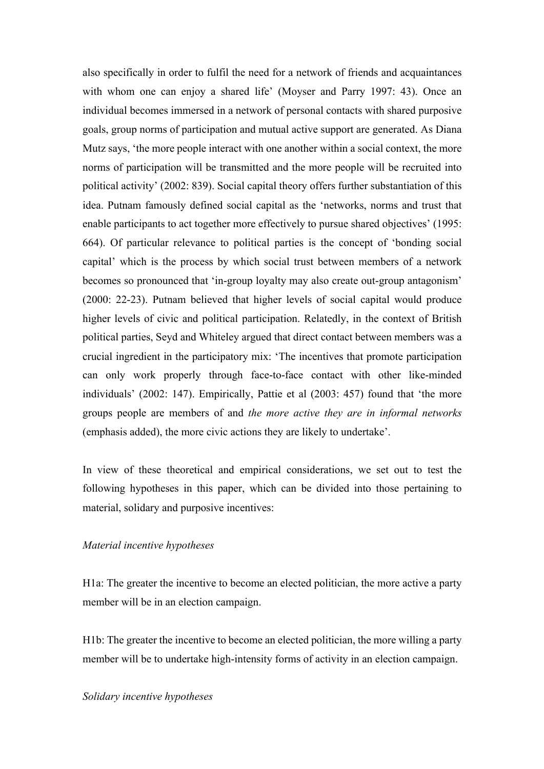also specifically in order to fulfil the need for a network of friends and acquaintances with whom one can enjoy a shared life' (Moyser and Parry 1997: 43). Once an individual becomes immersed in a network of personal contacts with shared purposive goals, group norms of participation and mutual active support are generated. As Diana Mutz says, 'the more people interact with one another within a social context, the more norms of participation will be transmitted and the more people will be recruited into political activity' (2002: 839). Social capital theory offers further substantiation of this idea. Putnam famously defined social capital as the 'networks, norms and trust that enable participants to act together more effectively to pursue shared objectives' (1995: 664). Of particular relevance to political parties is the concept of 'bonding social capital' which is the process by which social trust between members of a network becomes so pronounced that 'in-group loyalty may also create out-group antagonism' (2000: 22-23). Putnam believed that higher levels of social capital would produce higher levels of civic and political participation. Relatedly, in the context of British political parties, Seyd and Whiteley argued that direct contact between members was a crucial ingredient in the participatory mix: 'The incentives that promote participation can only work properly through face-to-face contact with other like-minded individuals' (2002: 147). Empirically, Pattie et al (2003: 457) found that 'the more groups people are members of and *the more active they are in informal networks* (emphasis added), the more civic actions they are likely to undertake'.

In view of these theoretical and empirical considerations, we set out to test the following hypotheses in this paper, which can be divided into those pertaining to material, solidary and purposive incentives:

#### *Material incentive hypotheses*

H1a: The greater the incentive to become an elected politician, the more active a party member will be in an election campaign.

H1b: The greater the incentive to become an elected politician, the more willing a party member will be to undertake high-intensity forms of activity in an election campaign.

#### *Solidary incentive hypotheses*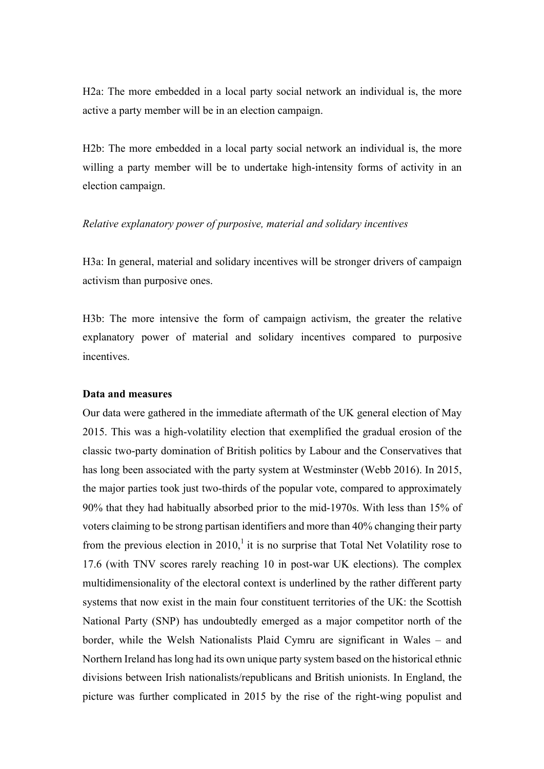H2a: The more embedded in a local party social network an individual is, the more active a party member will be in an election campaign.

H2b: The more embedded in a local party social network an individual is, the more willing a party member will be to undertake high-intensity forms of activity in an election campaign.

#### *Relative explanatory power of purposive, material and solidary incentives*

H3a: In general, material and solidary incentives will be stronger drivers of campaign activism than purposive ones.

H3b: The more intensive the form of campaign activism, the greater the relative explanatory power of material and solidary incentives compared to purposive incentives.

#### **Data and measures**

Our data were gathered in the immediate aftermath of the UK general election of May 2015. This was a high-volatility election that exemplified the gradual erosion of the classic two-party domination of British politics by Labour and the Conservatives that has long been associated with the party system at Westminster (Webb 2016). In 2015, the major parties took just two-thirds of the popular vote, compared to approximately 90% that they had habitually absorbed prior to the mid-1970s. With less than 15% of voters claiming to be strong partisan identifiers and more than 40% changing their party from the previous election in 2010, $\frac{1}{1}$  it is no surprise that Total Net Volatility rose to 17.6 (with TNV scores rarely reaching 10 in post-war UK elections). The complex multidimensionality of the electoral context is underlined by the rather different party systems that now exist in the main four constituent territories of the UK: the Scottish National Party (SNP) has undoubtedly emerged as a major competitor north of the border, while the Welsh Nationalists Plaid Cymru are significant in Wales – and Northern Ireland has long had its own unique party system based on the historical ethnic divisions between Irish nationalists/republicans and British unionists. In England, the picture was further complicated in 2015 by the rise of the right-wing populist and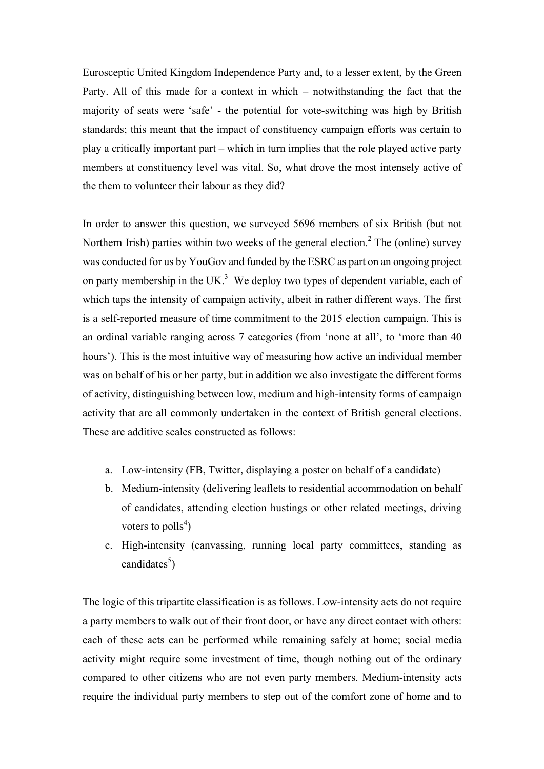Eurosceptic United Kingdom Independence Party and, to a lesser extent, by the Green Party. All of this made for a context in which – notwithstanding the fact that the majority of seats were 'safe' - the potential for vote-switching was high by British standards; this meant that the impact of constituency campaign efforts was certain to play a critically important part – which in turn implies that the role played active party members at constituency level was vital. So, what drove the most intensely active of the them to volunteer their labour as they did?

In order to answer this question, we surveyed 5696 members of six British (but not Northern Irish) parties within two weeks of the general election.<sup>2</sup> The (online) survey was conducted for us by YouGov and funded by the ESRC as part on an ongoing project on party membership in the UK. $3$  We deploy two types of dependent variable, each of which taps the intensity of campaign activity, albeit in rather different ways. The first is a self-reported measure of time commitment to the 2015 election campaign. This is an ordinal variable ranging across 7 categories (from 'none at all', to 'more than 40 hours'). This is the most intuitive way of measuring how active an individual member was on behalf of his or her party, but in addition we also investigate the different forms of activity, distinguishing between low, medium and high-intensity forms of campaign activity that are all commonly undertaken in the context of British general elections. These are additive scales constructed as follows:

- a. Low-intensity (FB, Twitter, displaying a poster on behalf of a candidate)
- b. Medium-intensity (delivering leaflets to residential accommodation on behalf of candidates, attending election hustings or other related meetings, driving voters to  $\text{polls}^4$ )
- c. High-intensity (canvassing, running local party committees, standing as candidates<sup>5</sup>)

The logic of this tripartite classification is as follows. Low-intensity acts do not require a party members to walk out of their front door, or have any direct contact with others: each of these acts can be performed while remaining safely at home; social media activity might require some investment of time, though nothing out of the ordinary compared to other citizens who are not even party members. Medium-intensity acts require the individual party members to step out of the comfort zone of home and to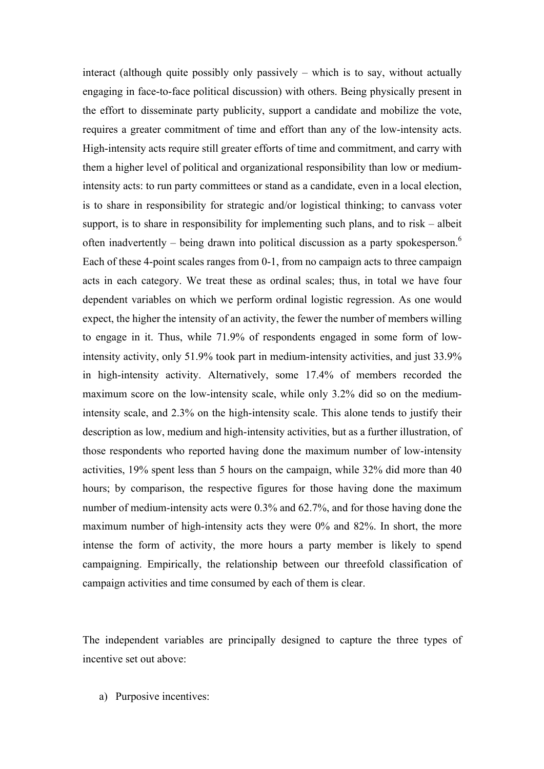interact (although quite possibly only passively – which is to say, without actually engaging in face-to-face political discussion) with others. Being physically present in the effort to disseminate party publicity, support a candidate and mobilize the vote, requires a greater commitment of time and effort than any of the low-intensity acts. High-intensity acts require still greater efforts of time and commitment, and carry with them a higher level of political and organizational responsibility than low or mediumintensity acts: to run party committees or stand as a candidate, even in a local election, is to share in responsibility for strategic and/or logistical thinking; to canvass voter support, is to share in responsibility for implementing such plans, and to risk – albeit often inadvertently – being drawn into political discussion as a party spokesperson.<sup>6</sup> Each of these 4-point scales ranges from 0-1, from no campaign acts to three campaign acts in each category. We treat these as ordinal scales; thus, in total we have four dependent variables on which we perform ordinal logistic regression. As one would expect, the higher the intensity of an activity, the fewer the number of members willing to engage in it. Thus, while 71.9% of respondents engaged in some form of lowintensity activity, only 51.9% took part in medium-intensity activities, and just 33.9% in high-intensity activity. Alternatively, some 17.4% of members recorded the maximum score on the low-intensity scale, while only 3.2% did so on the mediumintensity scale, and 2.3% on the high-intensity scale. This alone tends to justify their description as low, medium and high-intensity activities, but as a further illustration, of those respondents who reported having done the maximum number of low-intensity activities, 19% spent less than 5 hours on the campaign, while 32% did more than 40 hours; by comparison, the respective figures for those having done the maximum number of medium-intensity acts were 0.3% and 62.7%, and for those having done the maximum number of high-intensity acts they were 0% and 82%. In short, the more intense the form of activity, the more hours a party member is likely to spend campaigning. Empirically, the relationship between our threefold classification of campaign activities and time consumed by each of them is clear.

The independent variables are principally designed to capture the three types of incentive set out above:

a) Purposive incentives: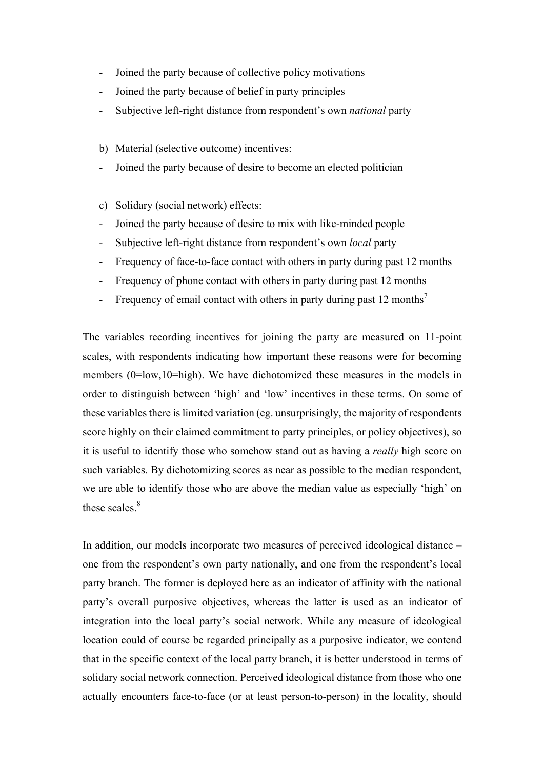- Joined the party because of collective policy motivations
- Joined the party because of belief in party principles
- Subjective left-right distance from respondent's own *national* party
- b) Material (selective outcome) incentives:
- Joined the party because of desire to become an elected politician
- c) Solidary (social network) effects:
- Joined the party because of desire to mix with like-minded people
- Subjective left-right distance from respondent's own *local* party
- Frequency of face-to-face contact with others in party during past 12 months
- Frequency of phone contact with others in party during past 12 months
- Frequency of email contact with others in party during past 12 months<sup>7</sup>

The variables recording incentives for joining the party are measured on 11-point scales, with respondents indicating how important these reasons were for becoming members (0=low,10=high). We have dichotomized these measures in the models in order to distinguish between 'high' and 'low' incentives in these terms. On some of these variables there is limited variation (eg. unsurprisingly, the majority of respondents score highly on their claimed commitment to party principles, or policy objectives), so it is useful to identify those who somehow stand out as having a *really* high score on such variables. By dichotomizing scores as near as possible to the median respondent, we are able to identify those who are above the median value as especially 'high' on these scales.<sup>8</sup>

In addition, our models incorporate two measures of perceived ideological distance – one from the respondent's own party nationally, and one from the respondent's local party branch. The former is deployed here as an indicator of affinity with the national party's overall purposive objectives, whereas the latter is used as an indicator of integration into the local party's social network. While any measure of ideological location could of course be regarded principally as a purposive indicator, we contend that in the specific context of the local party branch, it is better understood in terms of solidary social network connection. Perceived ideological distance from those who one actually encounters face-to-face (or at least person-to-person) in the locality, should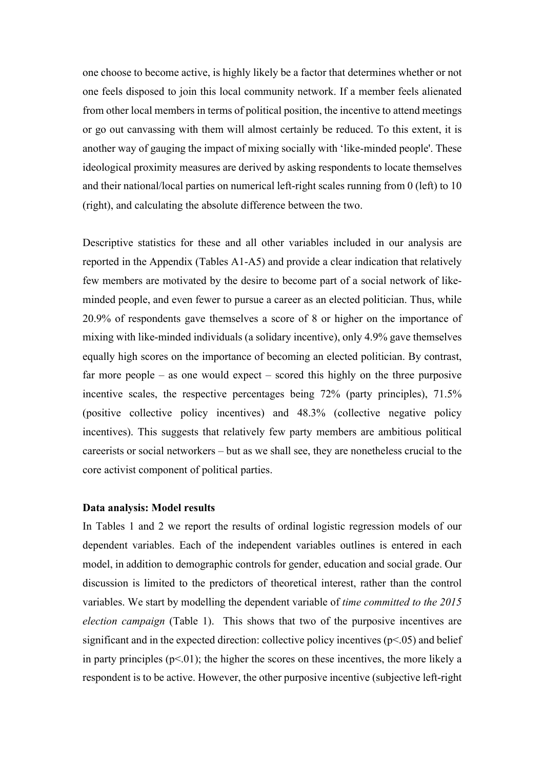one choose to become active, is highly likely be a factor that determines whether or not one feels disposed to join this local community network. If a member feels alienated from other local members in terms of political position, the incentive to attend meetings or go out canvassing with them will almost certainly be reduced. To this extent, it is another way of gauging the impact of mixing socially with 'like-minded people'. These ideological proximity measures are derived by asking respondents to locate themselves and their national/local parties on numerical left-right scales running from 0 (left) to 10 (right), and calculating the absolute difference between the two.

Descriptive statistics for these and all other variables included in our analysis are reported in the Appendix (Tables A1-A5) and provide a clear indication that relatively few members are motivated by the desire to become part of a social network of likeminded people, and even fewer to pursue a career as an elected politician. Thus, while 20.9% of respondents gave themselves a score of 8 or higher on the importance of mixing with like-minded individuals (a solidary incentive), only 4.9% gave themselves equally high scores on the importance of becoming an elected politician. By contrast, far more people – as one would expect – scored this highly on the three purposive incentive scales, the respective percentages being 72% (party principles), 71.5% (positive collective policy incentives) and 48.3% (collective negative policy incentives). This suggests that relatively few party members are ambitious political careerists or social networkers – but as we shall see, they are nonetheless crucial to the core activist component of political parties.

#### **Data analysis: Model results**

In Tables 1 and 2 we report the results of ordinal logistic regression models of our dependent variables. Each of the independent variables outlines is entered in each model, in addition to demographic controls for gender, education and social grade. Our discussion is limited to the predictors of theoretical interest, rather than the control variables. We start by modelling the dependent variable of *time committed to the 2015 election campaign* (Table 1). This shows that two of the purposive incentives are significant and in the expected direction: collective policy incentives  $(p<0.05)$  and belief in party principles  $(p<0.01)$ ; the higher the scores on these incentives, the more likely a respondent is to be active. However, the other purposive incentive (subjective left-right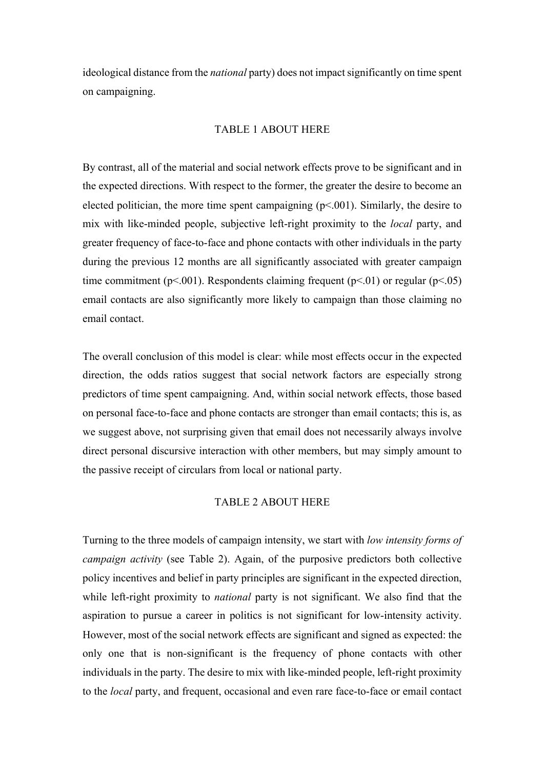ideological distance from the *national* party) does not impact significantly on time spent on campaigning.

#### TABLE 1 ABOUT HERE

By contrast, all of the material and social network effects prove to be significant and in the expected directions. With respect to the former, the greater the desire to become an elected politician, the more time spent campaigning  $(p<.001)$ . Similarly, the desire to mix with like-minded people, subjective left-right proximity to the *local* party, and greater frequency of face-to-face and phone contacts with other individuals in the party during the previous 12 months are all significantly associated with greater campaign time commitment ( $p<.001$ ). Respondents claiming frequent ( $p<.01$ ) or regular ( $p<.05$ ) email contacts are also significantly more likely to campaign than those claiming no email contact.

The overall conclusion of this model is clear: while most effects occur in the expected direction, the odds ratios suggest that social network factors are especially strong predictors of time spent campaigning. And, within social network effects, those based on personal face-to-face and phone contacts are stronger than email contacts; this is, as we suggest above, not surprising given that email does not necessarily always involve direct personal discursive interaction with other members, but may simply amount to the passive receipt of circulars from local or national party.

#### TABLE 2 ABOUT HERE

Turning to the three models of campaign intensity, we start with *low intensity forms of campaign activity* (see Table 2). Again, of the purposive predictors both collective policy incentives and belief in party principles are significant in the expected direction, while left-right proximity to *national* party is not significant. We also find that the aspiration to pursue a career in politics is not significant for low-intensity activity. However, most of the social network effects are significant and signed as expected: the only one that is non-significant is the frequency of phone contacts with other individuals in the party. The desire to mix with like-minded people, left-right proximity to the *local* party, and frequent, occasional and even rare face-to-face or email contact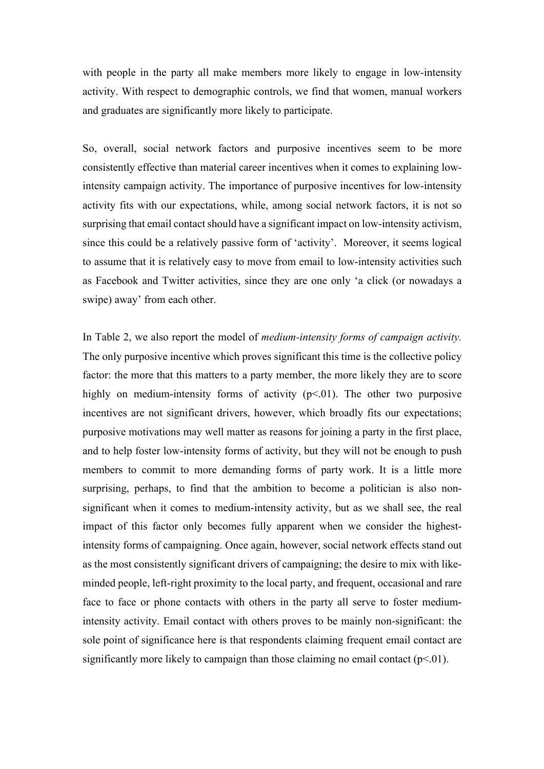with people in the party all make members more likely to engage in low-intensity activity. With respect to demographic controls, we find that women, manual workers and graduates are significantly more likely to participate.

So, overall, social network factors and purposive incentives seem to be more consistently effective than material career incentives when it comes to explaining lowintensity campaign activity. The importance of purposive incentives for low-intensity activity fits with our expectations, while, among social network factors, it is not so surprising that email contact should have a significant impact on low-intensity activism, since this could be a relatively passive form of 'activity'. Moreover, it seems logical to assume that it is relatively easy to move from email to low-intensity activities such as Facebook and Twitter activities, since they are one only 'a click (or nowadays a swipe) away' from each other.

In Table 2, we also report the model of *medium-intensity forms of campaign activity.* The only purposive incentive which proves significant this time is the collective policy factor: the more that this matters to a party member, the more likely they are to score highly on medium-intensity forms of activity  $(p<0.01)$ . The other two purposive incentives are not significant drivers, however, which broadly fits our expectations; purposive motivations may well matter as reasons for joining a party in the first place, and to help foster low-intensity forms of activity, but they will not be enough to push members to commit to more demanding forms of party work. It is a little more surprising, perhaps, to find that the ambition to become a politician is also nonsignificant when it comes to medium-intensity activity, but as we shall see, the real impact of this factor only becomes fully apparent when we consider the highestintensity forms of campaigning. Once again, however, social network effects stand out as the most consistently significant drivers of campaigning; the desire to mix with likeminded people, left-right proximity to the local party, and frequent, occasional and rare face to face or phone contacts with others in the party all serve to foster mediumintensity activity. Email contact with others proves to be mainly non-significant: the sole point of significance here is that respondents claiming frequent email contact are significantly more likely to campaign than those claiming no email contact  $(p<0.01)$ .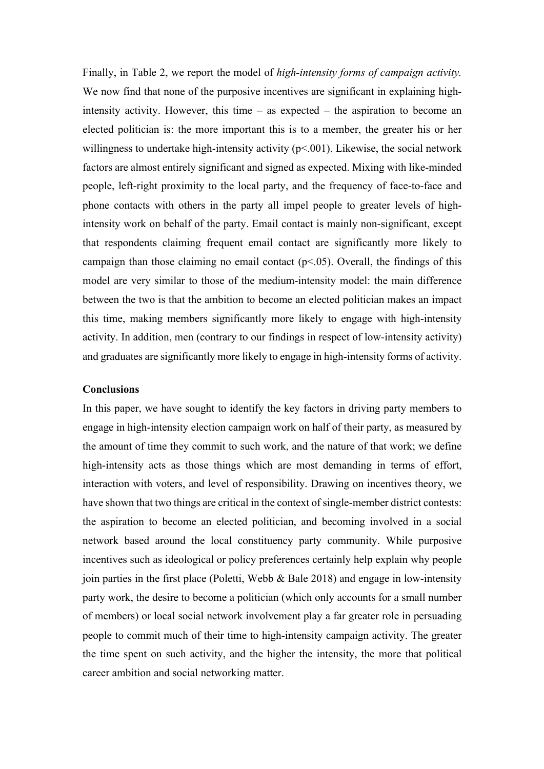Finally, in Table 2, we report the model of *high-intensity forms of campaign activity.* We now find that none of the purposive incentives are significant in explaining highintensity activity. However, this time – as expected – the aspiration to become an elected politician is: the more important this is to a member, the greater his or her willingness to undertake high-intensity activity  $(p<0.01)$ . Likewise, the social network factors are almost entirely significant and signed as expected. Mixing with like-minded people, left-right proximity to the local party, and the frequency of face-to-face and phone contacts with others in the party all impel people to greater levels of highintensity work on behalf of the party. Email contact is mainly non-significant, except that respondents claiming frequent email contact are significantly more likely to campaign than those claiming no email contact  $(p<0.05)$ . Overall, the findings of this model are very similar to those of the medium-intensity model: the main difference between the two is that the ambition to become an elected politician makes an impact this time, making members significantly more likely to engage with high-intensity activity. In addition, men (contrary to our findings in respect of low-intensity activity) and graduates are significantly more likely to engage in high-intensity forms of activity.

#### **Conclusions**

In this paper, we have sought to identify the key factors in driving party members to engage in high-intensity election campaign work on half of their party, as measured by the amount of time they commit to such work, and the nature of that work; we define high-intensity acts as those things which are most demanding in terms of effort, interaction with voters, and level of responsibility. Drawing on incentives theory, we have shown that two things are critical in the context of single-member district contests: the aspiration to become an elected politician, and becoming involved in a social network based around the local constituency party community. While purposive incentives such as ideological or policy preferences certainly help explain why people join parties in the first place (Poletti, Webb  $\&$  Bale 2018) and engage in low-intensity party work, the desire to become a politician (which only accounts for a small number of members) or local social network involvement play a far greater role in persuading people to commit much of their time to high-intensity campaign activity. The greater the time spent on such activity, and the higher the intensity, the more that political career ambition and social networking matter.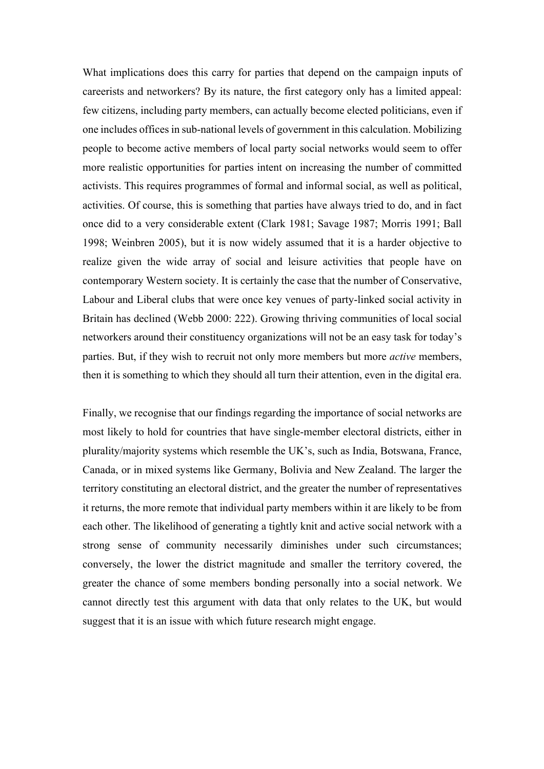What implications does this carry for parties that depend on the campaign inputs of careerists and networkers? By its nature, the first category only has a limited appeal: few citizens, including party members, can actually become elected politicians, even if one includes offices in sub-national levels of government in this calculation. Mobilizing people to become active members of local party social networks would seem to offer more realistic opportunities for parties intent on increasing the number of committed activists. This requires programmes of formal and informal social, as well as political, activities. Of course, this is something that parties have always tried to do, and in fact once did to a very considerable extent (Clark 1981; Savage 1987; Morris 1991; Ball 1998; Weinbren 2005), but it is now widely assumed that it is a harder objective to realize given the wide array of social and leisure activities that people have on contemporary Western society. It is certainly the case that the number of Conservative, Labour and Liberal clubs that were once key venues of party-linked social activity in Britain has declined (Webb 2000: 222). Growing thriving communities of local social networkers around their constituency organizations will not be an easy task for today's parties. But, if they wish to recruit not only more members but more *active* members, then it is something to which they should all turn their attention, even in the digital era.

Finally, we recognise that our findings regarding the importance of social networks are most likely to hold for countries that have single-member electoral districts, either in plurality/majority systems which resemble the UK's, such as India, Botswana, France, Canada, or in mixed systems like Germany, Bolivia and New Zealand. The larger the territory constituting an electoral district, and the greater the number of representatives it returns, the more remote that individual party members within it are likely to be from each other. The likelihood of generating a tightly knit and active social network with a strong sense of community necessarily diminishes under such circumstances; conversely, the lower the district magnitude and smaller the territory covered, the greater the chance of some members bonding personally into a social network. We cannot directly test this argument with data that only relates to the UK, but would suggest that it is an issue with which future research might engage.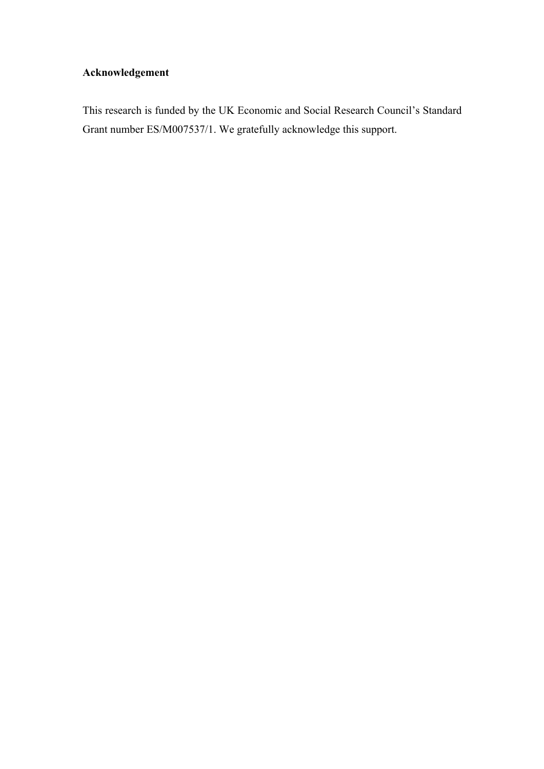### **Acknowledgement**

This research is funded by the UK Economic and Social Research Council's Standard Grant number ES/M007537/1. We gratefully acknowledge this support.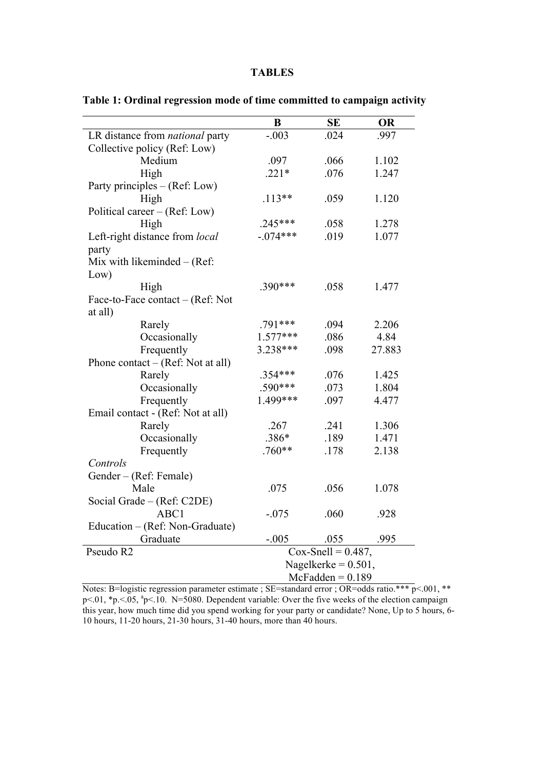#### **TABLES**

|                                        | B                      | SE                    | <b>OR</b> |  |
|----------------------------------------|------------------------|-----------------------|-----------|--|
| LR distance from <i>national</i> party | $-.003$                | .024                  | .997      |  |
| Collective policy (Ref: Low)           |                        |                       |           |  |
| Medium                                 | .097                   | .066                  | 1.102     |  |
| High                                   | $.221*$                | .076                  | 1.247     |  |
| Party principles - (Ref: Low)          |                        |                       |           |  |
| High                                   | $.113**$               | .059                  | 1.120     |  |
| Political career – (Ref: Low)          |                        |                       |           |  |
| High                                   | $.245***$              | .058                  | 1.278     |  |
| Left-right distance from local         | $-.074***$             | .019                  | 1.077     |  |
| party                                  |                        |                       |           |  |
| Mix with likeminded $-$ (Ref:          |                        |                       |           |  |
| Low)                                   |                        |                       |           |  |
| High                                   | .390***                | .058                  | 1.477     |  |
| Face-to-Face contact – (Ref: Not       |                        |                       |           |  |
| at all)                                |                        |                       |           |  |
| Rarely                                 | .791***                | .094                  | 2.206     |  |
| Occasionally                           | $1.577***$             | .086                  | 4.84      |  |
| Frequently                             | 3.238***               | .098                  | 27.883    |  |
| Phone contact $-$ (Ref: Not at all)    |                        |                       |           |  |
| Rarely                                 | $.354***$              | .076                  | 1.425     |  |
| Occasionally                           | $.590***$              | .073                  | 1.804     |  |
| Frequently                             | 1.499***               | .097                  | 4.477     |  |
| Email contact - (Ref: Not at all)      |                        |                       |           |  |
| Rarely                                 | .267                   | .241                  | 1.306     |  |
| Occasionally                           | .386*                  | .189                  | 1.471     |  |
| Frequently                             | $.760**$               | .178                  | 2.138     |  |
| Controls                               |                        |                       |           |  |
| Gender - (Ref: Female)                 |                        |                       |           |  |
| Male                                   | .075                   | .056                  | 1.078     |  |
| Social Grade – (Ref: C2DE)             |                        |                       |           |  |
| ABC1                                   | $-.075$                | .060                  | .928      |  |
| Education – (Ref: Non-Graduate)        |                        |                       |           |  |
| Graduate                               | $-.005$                | .055                  | .995      |  |
| Pseudo R2                              |                        | $Cox-Snell = 0.487$ , |           |  |
|                                        | Nagelkerke = $0.501$ , |                       |           |  |
|                                        | $McFadden = 0.189$     |                       |           |  |

**Table 1: Ordinal regression mode of time committed to campaign activity**

Notes: B=logistic regression parameter estimate ; SE=standard error ; OR=odds ratio.\*\*\* p<.001, \*\* p<.01, \*p. <.05, <sup>a</sup>p<.10. N=5080. Dependent variable: Over the five weeks of the election campaign this year, how much time did you spend working for your party or candidate? None, Up to 5 hours, 6-10 hours, 11-20 hours, 21-30 hours, 31-40 hours, more than 40 hours.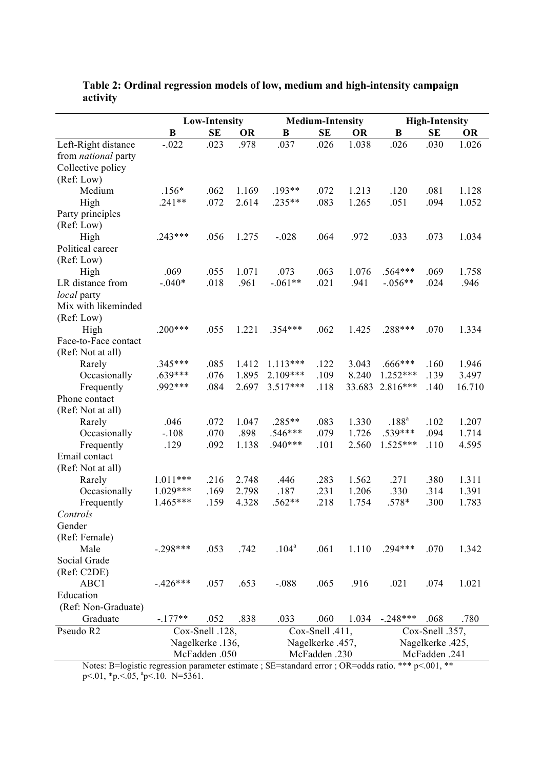|                            | <b>Low-Intensity</b> |                  | <b>Medium-Intensity</b> |                   |                 | <b>High-Intensity</b> |            |                 |           |
|----------------------------|----------------------|------------------|-------------------------|-------------------|-----------------|-----------------------|------------|-----------------|-----------|
|                            | B                    | <b>SE</b>        | <b>OR</b>               | B                 | <b>SE</b>       | <b>OR</b>             | B          | <b>SE</b>       | <b>OR</b> |
| Left-Right distance        | $-.022$              | .023             | .978                    | .037              | .026            | 1.038                 | .026       | .030            | 1.026     |
| from <i>national</i> party |                      |                  |                         |                   |                 |                       |            |                 |           |
| Collective policy          |                      |                  |                         |                   |                 |                       |            |                 |           |
| (Ref: Low)                 |                      |                  |                         |                   |                 |                       |            |                 |           |
| Medium                     | $.156*$              | .062             | 1.169                   | $.193**$          | .072            | 1.213                 | .120       | .081            | 1.128     |
| High                       | $.241**$             | .072             | 2.614                   | $.235**$          | .083            | 1.265                 | .051       | .094            | 1.052     |
| Party principles           |                      |                  |                         |                   |                 |                       |            |                 |           |
| (Ref: Low)                 |                      |                  |                         |                   |                 |                       |            |                 |           |
| High                       | $.243***$            | .056             | 1.275                   | $-.028$           | .064            | .972                  | .033       | .073            | 1.034     |
| Political career           |                      |                  |                         |                   |                 |                       |            |                 |           |
| (Ref: Low)                 |                      |                  |                         |                   |                 |                       |            |                 |           |
| High                       | .069                 | .055             | 1.071                   | .073              | .063            | 1.076                 | $.564***$  | .069            | 1.758     |
| LR distance from           | $-.040*$             | .018             | .961                    | $-.061**$         | .021            | .941                  | $-.056**$  | .024            | .946      |
| <i>local</i> party         |                      |                  |                         |                   |                 |                       |            |                 |           |
| Mix with likeminded        |                      |                  |                         |                   |                 |                       |            |                 |           |
| (Ref: Low)                 |                      |                  |                         |                   |                 |                       |            |                 |           |
| High                       | $.200***$            | .055             | 1.221                   | $.354***$         | .062            | 1.425                 | .288***    | .070            | 1.334     |
| Face-to-Face contact       |                      |                  |                         |                   |                 |                       |            |                 |           |
| (Ref: Not at all)          |                      |                  |                         |                   |                 |                       |            |                 |           |
| Rarely                     | $.345***$            | .085             | 1.412                   | 1.113***          | .122            | 3.043                 | $.666***$  | .160            | 1.946     |
| Occasionally               | $.639***$            | .076             | 1.895                   | 2.109***          | .109            | 8.240                 | 1.252***   | .139            | 3.497     |
| Frequently                 | .992***              | .084             | 2.697                   | $3.517***$        | .118            | 33.683                | $2.816***$ | .140            | 16.710    |
| Phone contact              |                      |                  |                         |                   |                 |                       |            |                 |           |
| (Ref: Not at all)          |                      |                  |                         |                   |                 |                       |            |                 |           |
| Rarely                     | .046                 | .072             | 1.047                   | $.285**$          | .083            | 1.330                 | $.188^{a}$ | .102            | 1.207     |
| Occasionally               | $-.108$              | .070             | .898                    | $.546***$         | .079            | 1.726                 | .539***    | .094            | 1.714     |
| Frequently                 | .129                 | .092             | 1.138                   | .940***           | .101            | 2.560                 | $1.525***$ | .110            | 4.595     |
| Email contact              |                      |                  |                         |                   |                 |                       |            |                 |           |
| (Ref: Not at all)          |                      |                  |                         |                   |                 |                       |            |                 |           |
| Rarely                     | $1.011***$           | .216             | 2.748                   | .446              | .283            | 1.562                 | .271       | .380            | 1.311     |
| Occasionally               | $1.029***$           | .169             | 2.798                   | .187              | .231            | 1.206                 | .330       | .314            | 1.391     |
| Frequently                 | $1.465***$           | .159             | 4.328                   | .562**            | .218            | 1.754                 | .578*      | .300            | 1.783     |
| Controls                   |                      |                  |                         |                   |                 |                       |            |                 |           |
| Gender                     |                      |                  |                         |                   |                 |                       |            |                 |           |
| (Ref: Female)              |                      |                  |                         |                   |                 |                       |            |                 |           |
| Male                       | $-.298***$           | .053             | .742                    | .104 <sup>a</sup> | .061            | 1.110                 | $.294***$  | .070            | 1.342     |
| Social Grade               |                      |                  |                         |                   |                 |                       |            |                 |           |
| (Ref: C2DE)                |                      |                  |                         |                   |                 |                       |            |                 |           |
| ABC1                       | $-.426***$           | .057             | .653                    | $-.088$           | .065            | .916                  | .021       | .074            | 1.021     |
| Education                  |                      |                  |                         |                   |                 |                       |            |                 |           |
| (Ref: Non-Graduate)        |                      |                  |                         |                   |                 |                       |            |                 |           |
| Graduate                   | $-.177**$            | .052             | .838                    | .033              | .060            | 1.034                 | $-.248***$ | .068            | .780      |
| Pseudo R2                  |                      | Cox-Snell .128,  |                         |                   | Cox-Snell .411, |                       |            | Cox-Snell .357, |           |
|                            |                      | Nagelkerke .136, |                         | Nagelkerke .457,  |                 | Nagelkerke .425,      |            |                 |           |
|                            |                      | McFadden .050    |                         |                   | McFadden .230   |                       |            | McFadden .241   |           |

**Table 2: Ordinal regression models of low, medium and high-intensity campaign activity**

Notes: B=logistic regression parameter estimate ; SE=standard error ; OR=odds ratio. \*\*\* p<.001, \*\*  $p<.01$ , \*p. $\le 0.05$ ,  $p<.10$ . N=5361.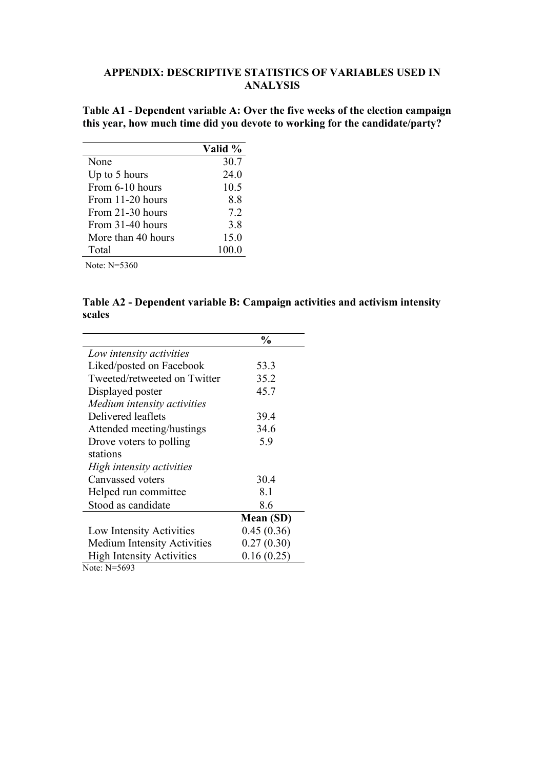#### **APPENDIX: DESCRIPTIVE STATISTICS OF VARIABLES USED IN ANALYSIS**

**Table A1 - Dependent variable A: Over the five weeks of the election campaign this year, how much time did you devote to working for the candidate/party?**

|                    | Valid % |
|--------------------|---------|
| None               | 30.7    |
| Up to 5 hours      | 24.0    |
| From 6-10 hours    | 10.5    |
| From 11-20 hours   | 8.8     |
| From 21-30 hours   | 7.2     |
| From 31-40 hours   | 3.8     |
| More than 40 hours | 15.0    |
| Total              | 100.0   |
|                    |         |

Note: N=5360

**Table A2 - Dependent variable B: Campaign activities and activism intensity scales**

|                                    | $\frac{0}{0}$ |
|------------------------------------|---------------|
| Low intensity activities           |               |
| Liked/posted on Facebook           | 53.3          |
| Tweeted/retweeted on Twitter       | 35.2          |
| Displayed poster                   | 45.7          |
| Medium intensity activities        |               |
| Delivered leaflets                 | 39.4          |
| Attended meeting/hustings          | 34.6          |
| Drove voters to polling            | 5.9           |
| stations                           |               |
| High intensity activities          |               |
| Canvassed voters                   | 30.4          |
| Helped run committee               | 8.1           |
| Stood as candidate                 | 8.6           |
|                                    | Mean (SD)     |
| Low Intensity Activities           | 0.45(0.36)    |
| <b>Medium Intensity Activities</b> | 0.27(0.30)    |
| <b>High Intensity Activities</b>   | 0.16(0.25)    |
| Note: N=5693                       |               |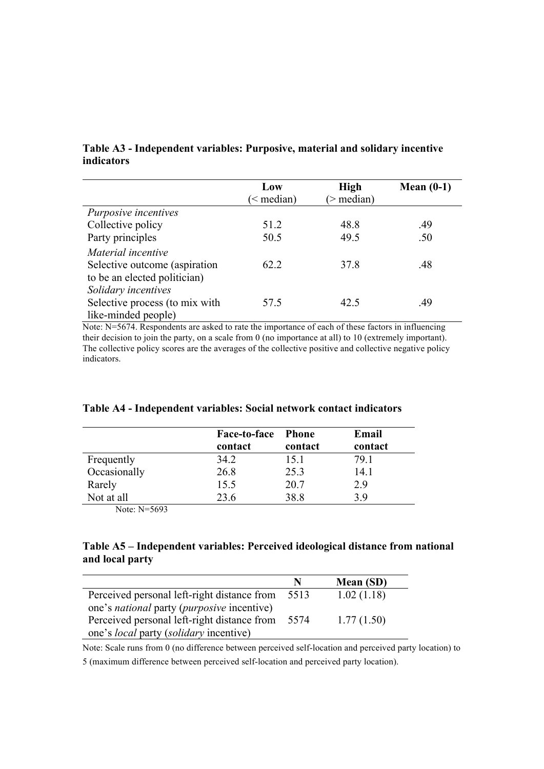#### **Table A3 - Independent variables: Purposive, material and solidary incentive indicators**

|                                                                                     | Low<br>$\leq$ median) | <b>High</b><br>$>$ median) | Mean $(0-1)$ |
|-------------------------------------------------------------------------------------|-----------------------|----------------------------|--------------|
| Purposive incentives                                                                |                       |                            |              |
| Collective policy                                                                   | 51.2                  | 48.8                       | .49          |
| Party principles                                                                    | 50.5                  | 49.5                       | .50          |
| Material incentive<br>Selective outcome (aspiration<br>to be an elected politician) | 62.2                  | 37.8                       | .48          |
| Solidary incentives<br>Selective process (to mix with<br>like-minded people)        | 57.5                  | 42.5                       | .49          |

Note: N=5674. Respondents are asked to rate the importance of each of these factors in influencing their decision to join the party, on a scale from 0 (no importance at all) to 10 (extremely important). The collective policy scores are the averages of the collective positive and collective negative policy indicators.

|              | Face-to-face | - Phone | Email   |
|--------------|--------------|---------|---------|
|              | contact      | contact | contact |
| Frequently   | 34.2         | 15.1    | 79 1    |
| Occasionally | 26.8         | 25.3    | 14.1    |
| Rarely       | 15.5         | 20.7    | 2.9     |
| Not at all   | 23.6         | 38.8    | 39      |

#### **Table A4 - Independent variables: Social network contact indicators**

Note: N=5693

#### **Table A5 – Independent variables: Perceived ideological distance from national and local party**

|                                                           | N    | Mean (SD)  |
|-----------------------------------------------------------|------|------------|
| Perceived personal left-right distance from               | 5513 | 1.02(1.18) |
| one's <i>national</i> party ( <i>purposive</i> incentive) |      |            |
| Perceived personal left-right distance from               | 5574 | 1.77(1.50) |
| one's <i>local</i> party <i>(solidary incentive)</i>      |      |            |

Note: Scale runs from 0 (no difference between perceived self-location and perceived party location) to

5 (maximum difference between perceived self-location and perceived party location).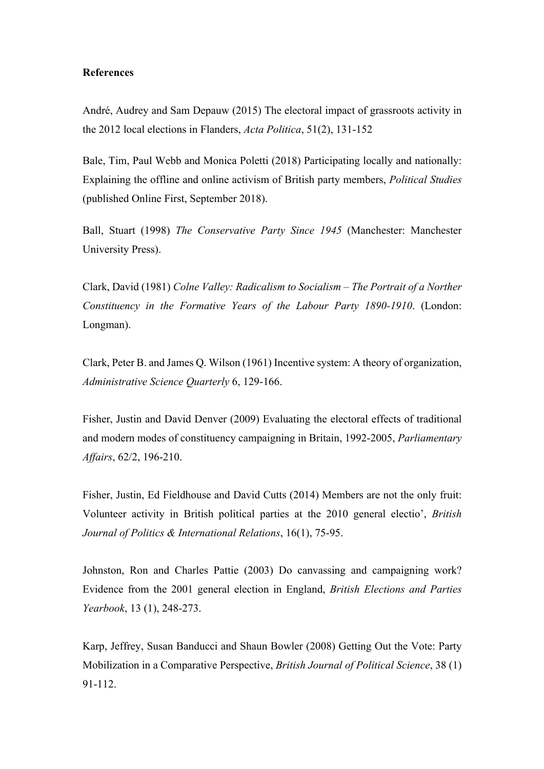#### **References**

André, Audrey and Sam Depauw (2015) The electoral impact of grassroots activity in the 2012 local elections in Flanders, *Acta Politica*, 51(2), 131-152

Bale, Tim, Paul Webb and Monica Poletti (2018) Participating locally and nationally: Explaining the offline and online activism of British party members, *Political Studies*  (published Online First, September 2018).

Ball, Stuart (1998) *The Conservative Party Since 1945* (Manchester: Manchester University Press).

Clark, David (1981) *Colne Valley: Radicalism to Socialism – The Portrait of a Norther Constituency in the Formative Years of the Labour Party 1890-1910*. (London: Longman).

Clark, Peter B. and James Q. Wilson (1961) Incentive system: A theory of organization, *Administrative Science Quarterly* 6, 129-166.

Fisher, Justin and David Denver (2009) Evaluating the electoral effects of traditional and modern modes of constituency campaigning in Britain, 1992-2005, *Parliamentary Affairs*, 62/2, 196-210.

Fisher, Justin, Ed Fieldhouse and David Cutts (2014) Members are not the only fruit: Volunteer activity in British political parties at the 2010 general electio', *British Journal of Politics & International Relations*, 16(1), 75-95.

Johnston, Ron and Charles Pattie (2003) Do canvassing and campaigning work? Evidence from the 2001 general election in England, *British Elections and Parties Yearbook*, 13 (1), 248-273.

Karp, Jeffrey, Susan Banducci and Shaun Bowler (2008) Getting Out the Vote: Party Mobilization in a Comparative Perspective, *British Journal of Political Science*, 38 (1) 91-112.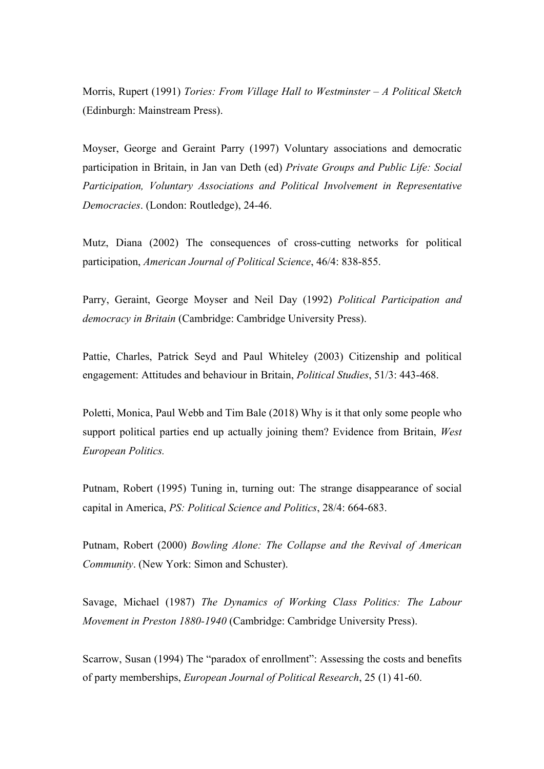Morris, Rupert (1991) *Tories: From Village Hall to Westminster – A Political Sketch* (Edinburgh: Mainstream Press).

Moyser, George and Geraint Parry (1997) Voluntary associations and democratic participation in Britain, in Jan van Deth (ed) *Private Groups and Public Life: Social Participation, Voluntary Associations and Political Involvement in Representative Democracies*. (London: Routledge), 24-46.

Mutz, Diana (2002) The consequences of cross-cutting networks for political participation, *American Journal of Political Science*, 46/4: 838-855.

Parry, Geraint, George Moyser and Neil Day (1992) *Political Participation and democracy in Britain* (Cambridge: Cambridge University Press).

Pattie, Charles, Patrick Seyd and Paul Whiteley (2003) Citizenship and political engagement: Attitudes and behaviour in Britain, *Political Studies*, 51/3: 443-468.

Poletti, Monica, Paul Webb and Tim Bale (2018) Why is it that only some people who support political parties end up actually joining them? Evidence from Britain, *West European Politics.*

Putnam, Robert (1995) Tuning in, turning out: The strange disappearance of social capital in America, *PS: Political Science and Politics*, 28/4: 664-683.

Putnam, Robert (2000) *Bowling Alone: The Collapse and the Revival of American Community*. (New York: Simon and Schuster).

Savage, Michael (1987) *The Dynamics of Working Class Politics: The Labour Movement in Preston 1880-1940* (Cambridge: Cambridge University Press).

Scarrow, Susan (1994) The "paradox of enrollment": Assessing the costs and benefits of party memberships, *European Journal of Political Research*, 25 (1) 41-60.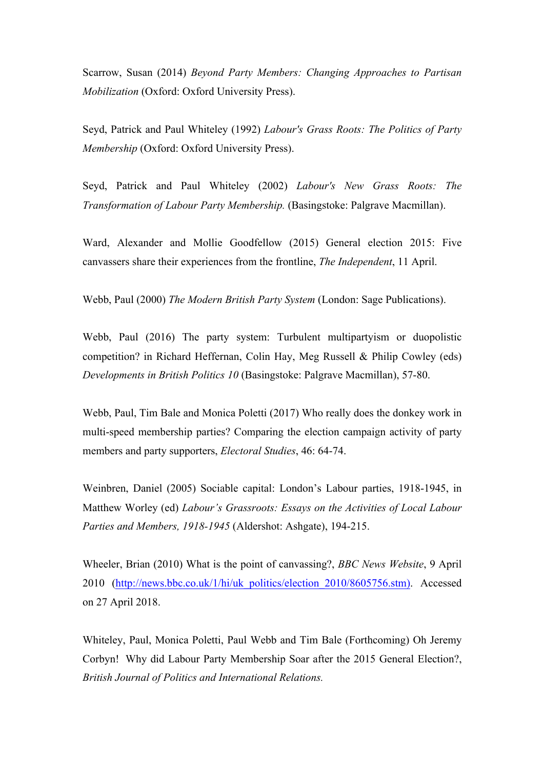Scarrow, Susan (2014) *Beyond Party Members: Changing Approaches to Partisan Mobilization* (Oxford: Oxford University Press).

Seyd, Patrick and Paul Whiteley (1992) *Labour's Grass Roots: The Politics of Party Membership* (Oxford: Oxford University Press).

Seyd, Patrick and Paul Whiteley (2002) *Labour's New Grass Roots: The Transformation of Labour Party Membership.* (Basingstoke: Palgrave Macmillan).

Ward, Alexander and Mollie Goodfellow (2015) General election 2015: Five canvassers share their experiences from the frontline, *The Independent*, 11 April.

Webb, Paul (2000) *The Modern British Party System* (London: Sage Publications).

Webb, Paul (2016) The party system: Turbulent multipartyism or duopolistic competition? in Richard Heffernan, Colin Hay, Meg Russell & Philip Cowley (eds) *Developments in British Politics 10* (Basingstoke: Palgrave Macmillan), 57-80.

Webb, Paul, Tim Bale and Monica Poletti (2017) Who really does the donkey work in multi-speed membership parties? Comparing the election campaign activity of party members and party supporters, *Electoral Studies*, 46: 64-74.

Weinbren, Daniel (2005) Sociable capital: London's Labour parties, 1918-1945, in Matthew Worley (ed) *Labour's Grassroots: Essays on the Activities of Local Labour Parties and Members, 1918-1945* (Aldershot: Ashgate), 194-215.

Wheeler, Brian (2010) What is the point of canvassing?, *BBC News Website*, 9 April 2010 (http://news.bbc.co.uk/1/hi/uk\_politics/election\_2010/8605756.stm). Accessed on 27 April 2018.

Whiteley, Paul, Monica Poletti, Paul Webb and Tim Bale (Forthcoming) Oh Jeremy Corbyn! Why did Labour Party Membership Soar after the 2015 General Election?, *British Journal of Politics and International Relations.*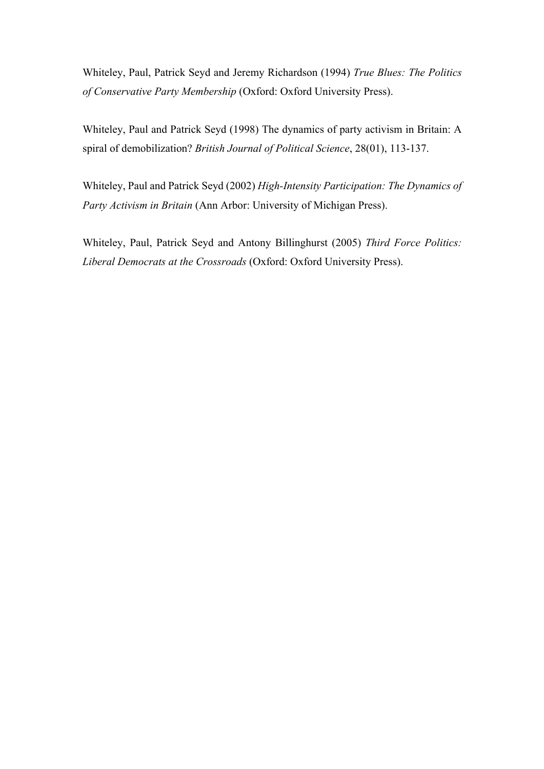Whiteley, Paul, Patrick Seyd and Jeremy Richardson (1994) *True Blues: The Politics of Conservative Party Membership* (Oxford: Oxford University Press).

Whiteley, Paul and Patrick Seyd (1998) The dynamics of party activism in Britain: A spiral of demobilization? *British Journal of Political Science*, 28(01), 113-137.

Whiteley, Paul and Patrick Seyd (2002) *High-Intensity Participation: The Dynamics of Party Activism in Britain* (Ann Arbor: University of Michigan Press).

Whiteley, Paul, Patrick Seyd and Antony Billinghurst (2005) *Third Force Politics: Liberal Democrats at the Crossroads* (Oxford: Oxford University Press).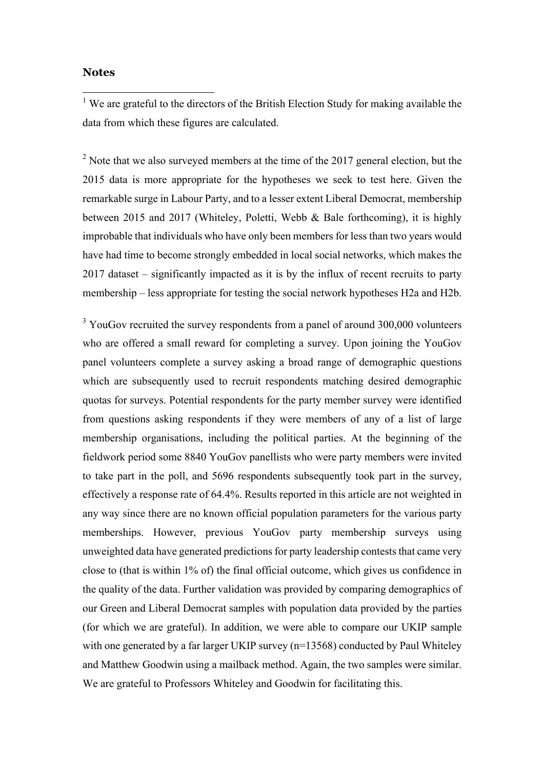#### **Notes**

 $\overline{a}$ 

<sup>1</sup> We are grateful to the directors of the British Election Study for making available the data from which these figures are calculated.

 $2^{2}$  Note that we also surveyed members at the time of the 2017 general election, but the 2015 data is more appropriate for the hypotheses we seek to test here. Given the remarkable surge in Labour Party, and to a lesser extent Liberal Democrat, membership between 2015 and 2017 (Whiteley, Poletti, Webb & Bale forthcoming), it is highly improbable that individuals who have only been members for less than two years would have had time to become strongly embedded in local social networks, which makes the 2017 dataset – significantly impacted as it is by the influx of recent recruits to party membership – less appropriate for testing the social network hypotheses H2a and H2b.

<sup>3</sup> YouGov recruited the survey respondents from a panel of around 300,000 volunteers who are offered a small reward for completing a survey. Upon joining the YouGov panel volunteers complete a survey asking a broad range of demographic questions which are subsequently used to recruit respondents matching desired demographic quotas for surveys. Potential respondents for the party member survey were identified from questions asking respondents if they were members of any of a list of large membership organisations, including the political parties. At the beginning of the fieldwork period some 8840 YouGov panellists who were party members were invited to take part in the poll, and 5696 respondents subsequently took part in the survey, effectively a response rate of 64.4%. Results reported in this article are not weighted in any way since there are no known official population parameters for the various party memberships. However, previous YouGov party membership surveys using unweighted data have generated predictions for party leadership contests that came very close to (that is within 1% of) the final official outcome, which gives us confidence in the quality of the data. Further validation was provided by comparing demographics of our Green and Liberal Democrat samples with population data provided by the parties (for which we are grateful). In addition, we were able to compare our UKIP sample with one generated by a far larger UKIP survey (n=13568) conducted by Paul Whiteley and Matthew Goodwin using a mailback method. Again, the two samples were similar. We are grateful to Professors Whiteley and Goodwin for facilitating this.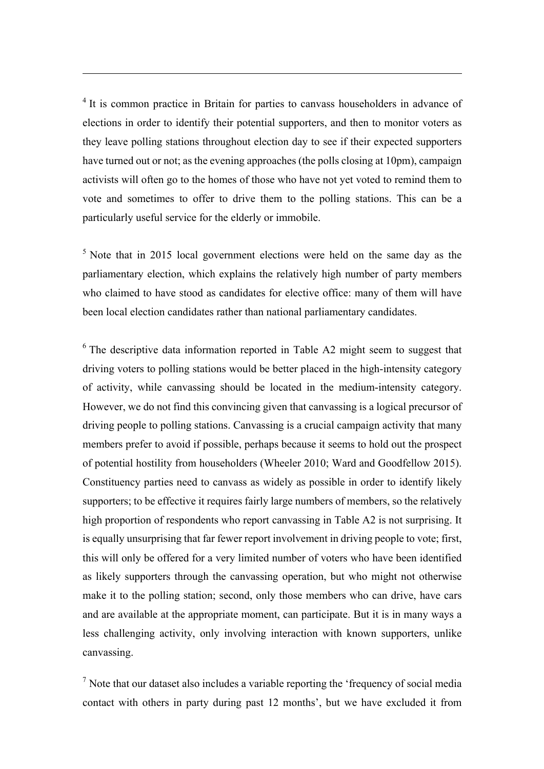<sup>4</sup> It is common practice in Britain for parties to canvass householders in advance of elections in order to identify their potential supporters, and then to monitor voters as they leave polling stations throughout election day to see if their expected supporters have turned out or not; as the evening approaches (the polls closing at 10pm), campaign activists will often go to the homes of those who have not yet voted to remind them to vote and sometimes to offer to drive them to the polling stations. This can be a particularly useful service for the elderly or immobile.

 $\overline{a}$ 

 $5$  Note that in 2015 local government elections were held on the same day as the parliamentary election, which explains the relatively high number of party members who claimed to have stood as candidates for elective office: many of them will have been local election candidates rather than national parliamentary candidates.

 $6$  The descriptive data information reported in Table A2 might seem to suggest that driving voters to polling stations would be better placed in the high-intensity category of activity, while canvassing should be located in the medium-intensity category. However, we do not find this convincing given that canvassing is a logical precursor of driving people to polling stations. Canvassing is a crucial campaign activity that many members prefer to avoid if possible, perhaps because it seems to hold out the prospect of potential hostility from householders (Wheeler 2010; Ward and Goodfellow 2015). Constituency parties need to canvass as widely as possible in order to identify likely supporters; to be effective it requires fairly large numbers of members, so the relatively high proportion of respondents who report canvassing in Table A2 is not surprising. It is equally unsurprising that far fewer report involvement in driving people to vote; first, this will only be offered for a very limited number of voters who have been identified as likely supporters through the canvassing operation, but who might not otherwise make it to the polling station; second, only those members who can drive, have cars and are available at the appropriate moment, can participate. But it is in many ways a less challenging activity, only involving interaction with known supporters, unlike canvassing.

 $<sup>7</sup>$  Note that our dataset also includes a variable reporting the 'frequency of social media</sup> contact with others in party during past 12 months', but we have excluded it from